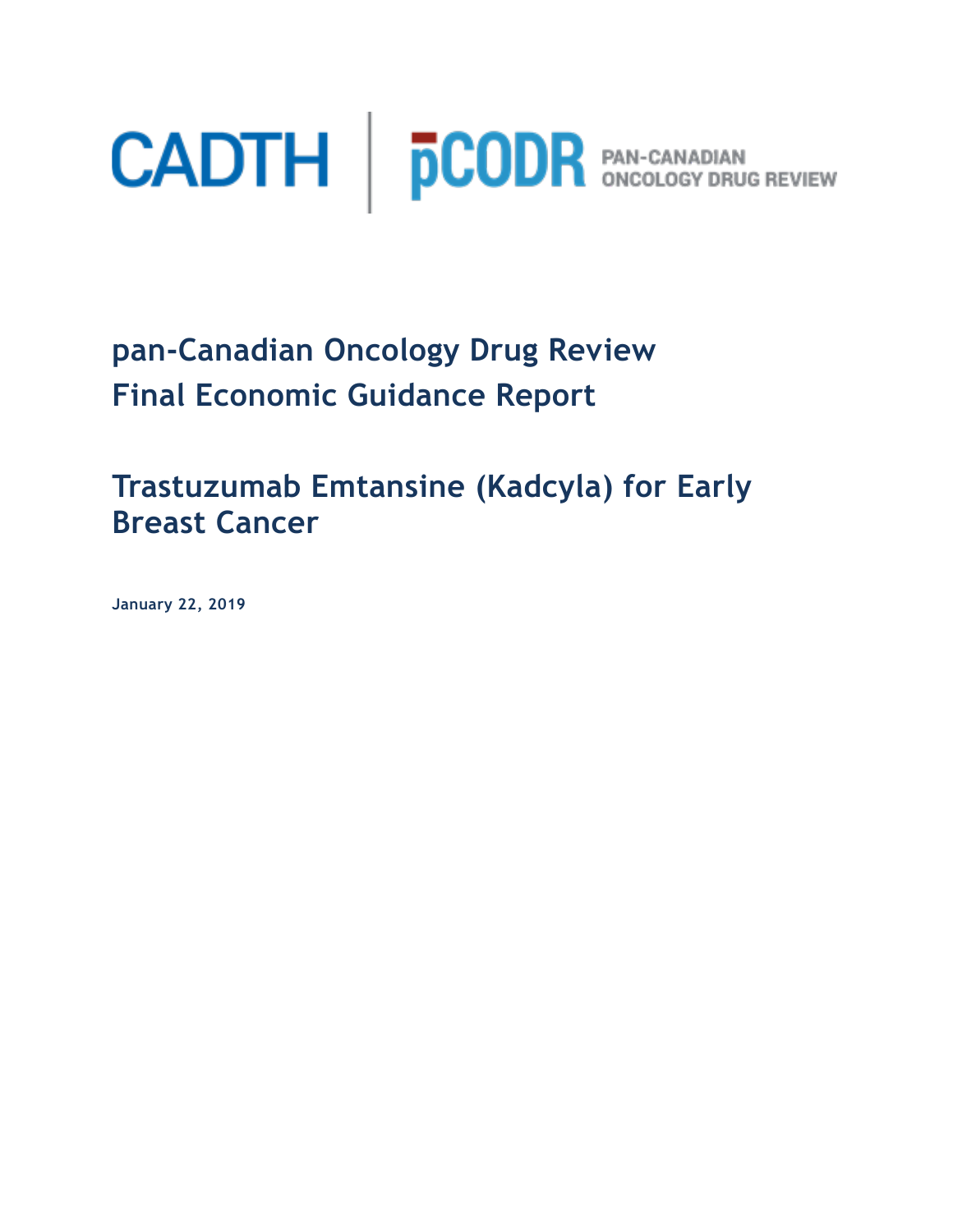

**pan-Canadian Oncology Drug Review Final Economic Guidance Report** 

**Trastuzumab Emtansine (Kadcyla) for Early Breast Cancer**

**January 22, 2019**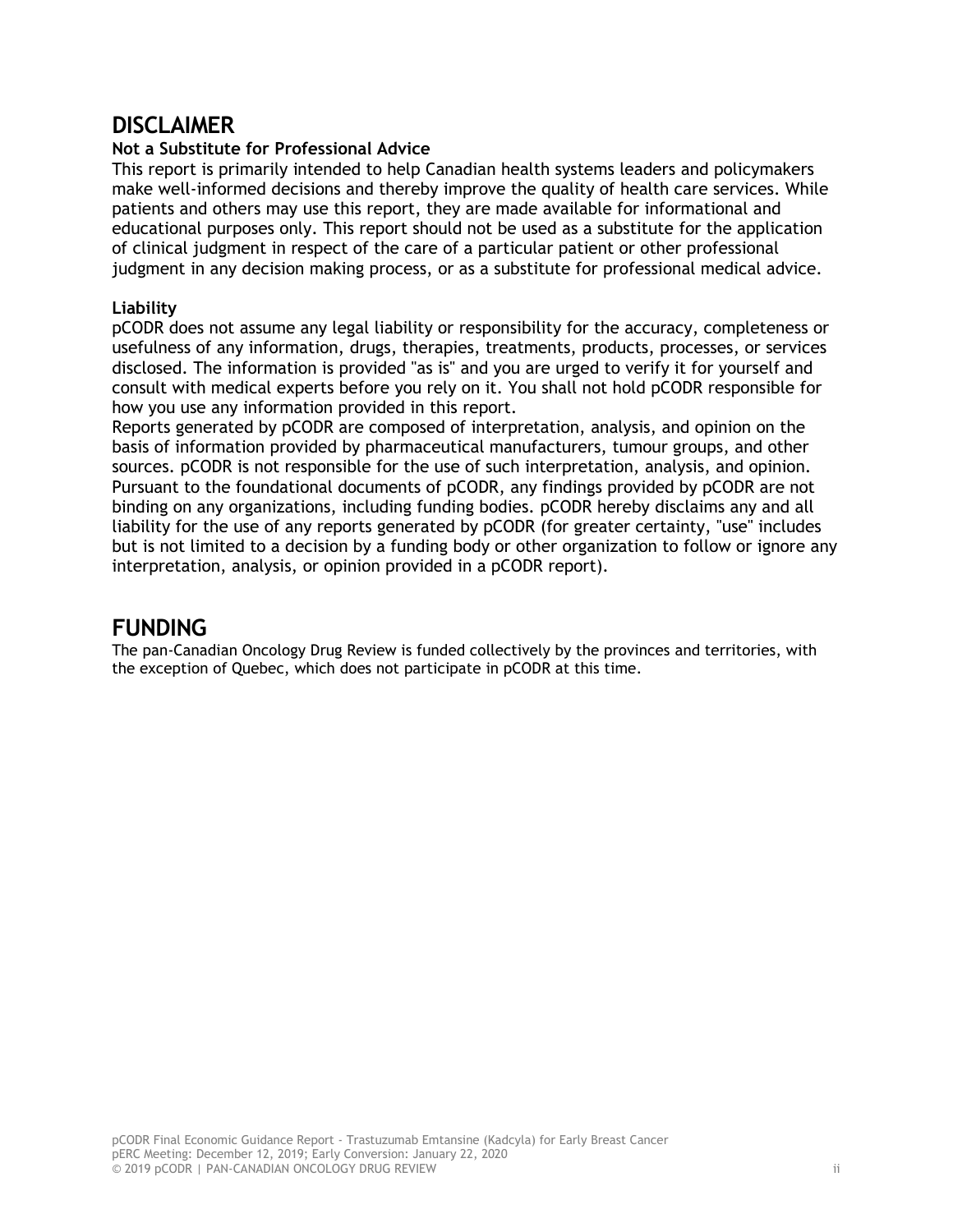### **DISCLAIMER**

#### **Not a Substitute for Professional Advice**

This report is primarily intended to help Canadian health systems leaders and policymakers make well-informed decisions and thereby improve the quality of health care services. While patients and others may use this report, they are made available for informational and educational purposes only. This report should not be used as a substitute for the application of clinical judgment in respect of the care of a particular patient or other professional judgment in any decision making process, or as a substitute for professional medical advice.

#### **Liability**

pCODR does not assume any legal liability or responsibility for the accuracy, completeness or usefulness of any information, drugs, therapies, treatments, products, processes, or services disclosed. The information is provided "as is" and you are urged to verify it for yourself and consult with medical experts before you rely on it. You shall not hold pCODR responsible for how you use any information provided in this report.

Reports generated by pCODR are composed of interpretation, analysis, and opinion on the basis of information provided by pharmaceutical manufacturers, tumour groups, and other sources. pCODR is not responsible for the use of such interpretation, analysis, and opinion. Pursuant to the foundational documents of pCODR, any findings provided by pCODR are not binding on any organizations, including funding bodies. pCODR hereby disclaims any and all liability for the use of any reports generated by pCODR (for greater certainty, "use" includes but is not limited to a decision by a funding body or other organization to follow or ignore any interpretation, analysis, or opinion provided in a pCODR report).

### **FUNDING**

The pan-Canadian Oncology Drug Review is funded collectively by the provinces and territories, with the exception of Quebec, which does not participate in pCODR at this time.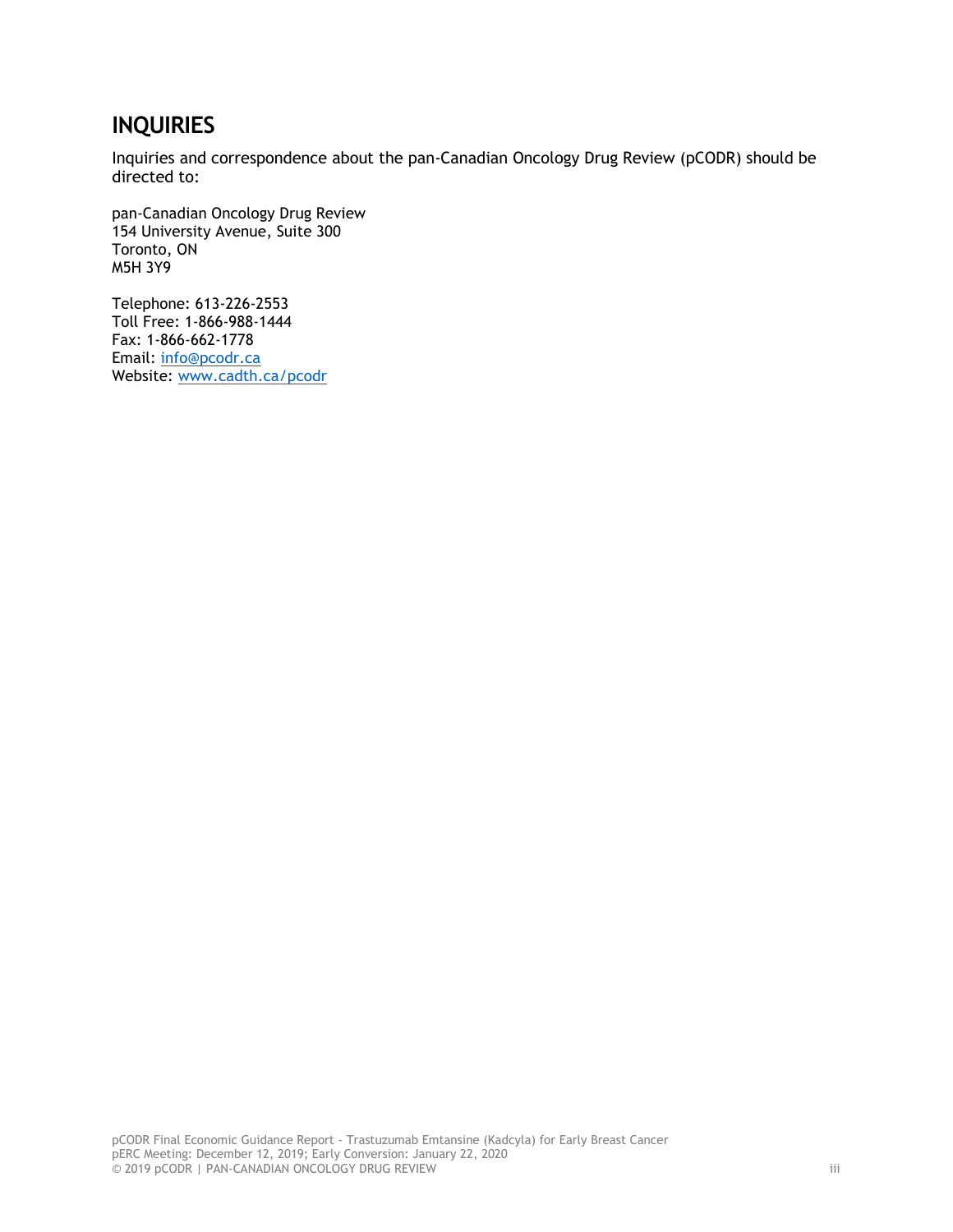# **INQUIRIES**

Inquiries and correspondence about the pan-Canadian Oncology Drug Review (pCODR) should be directed to:

pan-Canadian Oncology Drug Review 154 University Avenue, Suite 300 Toronto, ON M5H 3Y9

Telephone: 613-226-2553 Toll Free: 1-866-988-1444 Fax: 1-866-662-1778 Email: info@pcodr.ca Website: www.cadth.ca/pcodr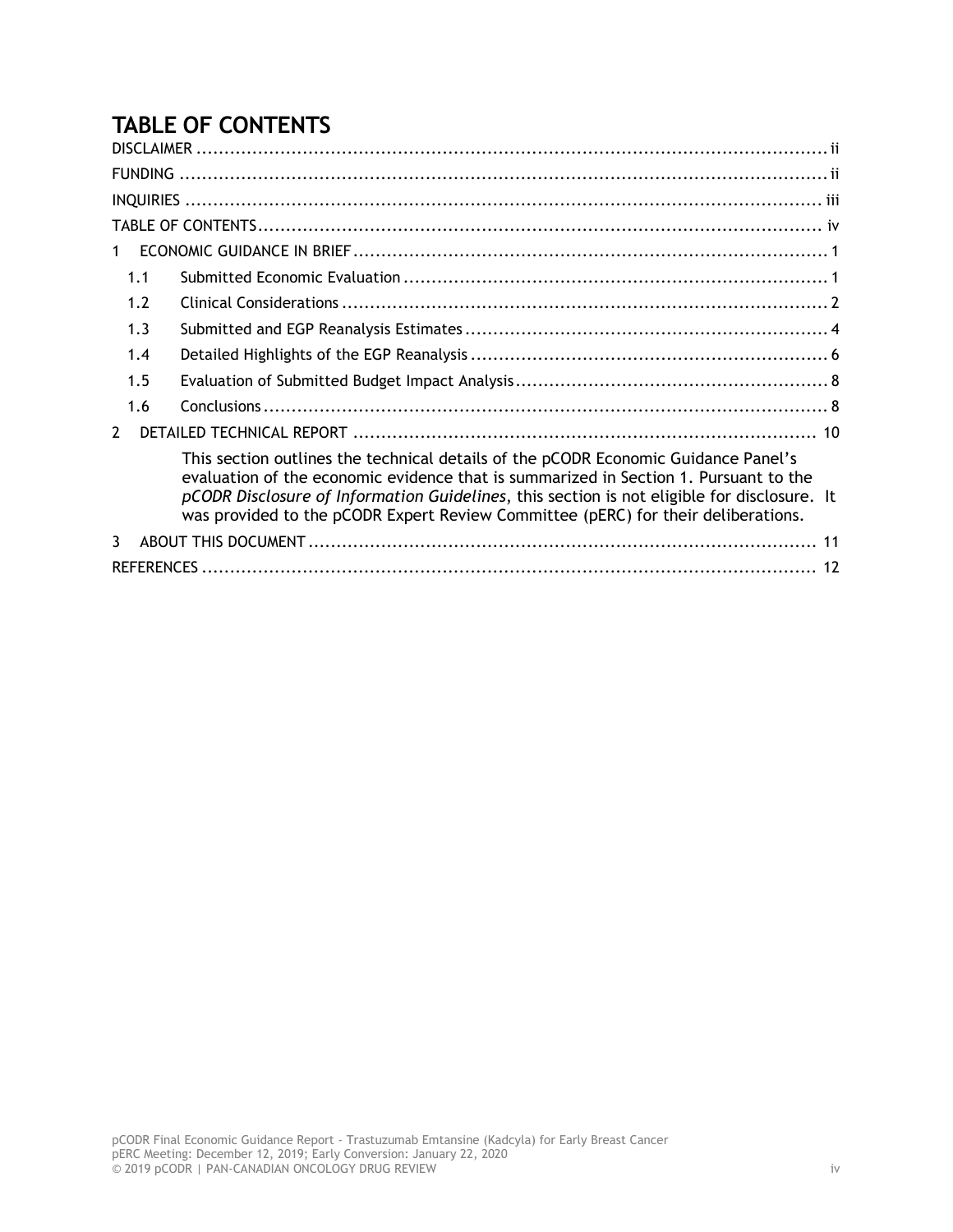# **TABLE OF CONTENTS**

| 1                                                                                                                                                                                                                                                                                                                                                              |  |
|----------------------------------------------------------------------------------------------------------------------------------------------------------------------------------------------------------------------------------------------------------------------------------------------------------------------------------------------------------------|--|
| 1.1                                                                                                                                                                                                                                                                                                                                                            |  |
| 1.2                                                                                                                                                                                                                                                                                                                                                            |  |
| 1.3                                                                                                                                                                                                                                                                                                                                                            |  |
| 1.4                                                                                                                                                                                                                                                                                                                                                            |  |
| 1.5                                                                                                                                                                                                                                                                                                                                                            |  |
| 1.6                                                                                                                                                                                                                                                                                                                                                            |  |
| $\mathcal{P}$                                                                                                                                                                                                                                                                                                                                                  |  |
| This section outlines the technical details of the pCODR Economic Guidance Panel's<br>evaluation of the economic evidence that is summarized in Section 1. Pursuant to the<br>pCODR Disclosure of Information Guidelines, this section is not eligible for disclosure. It<br>was provided to the pCODR Expert Review Committee (pERC) for their deliberations. |  |
| 3                                                                                                                                                                                                                                                                                                                                                              |  |
|                                                                                                                                                                                                                                                                                                                                                                |  |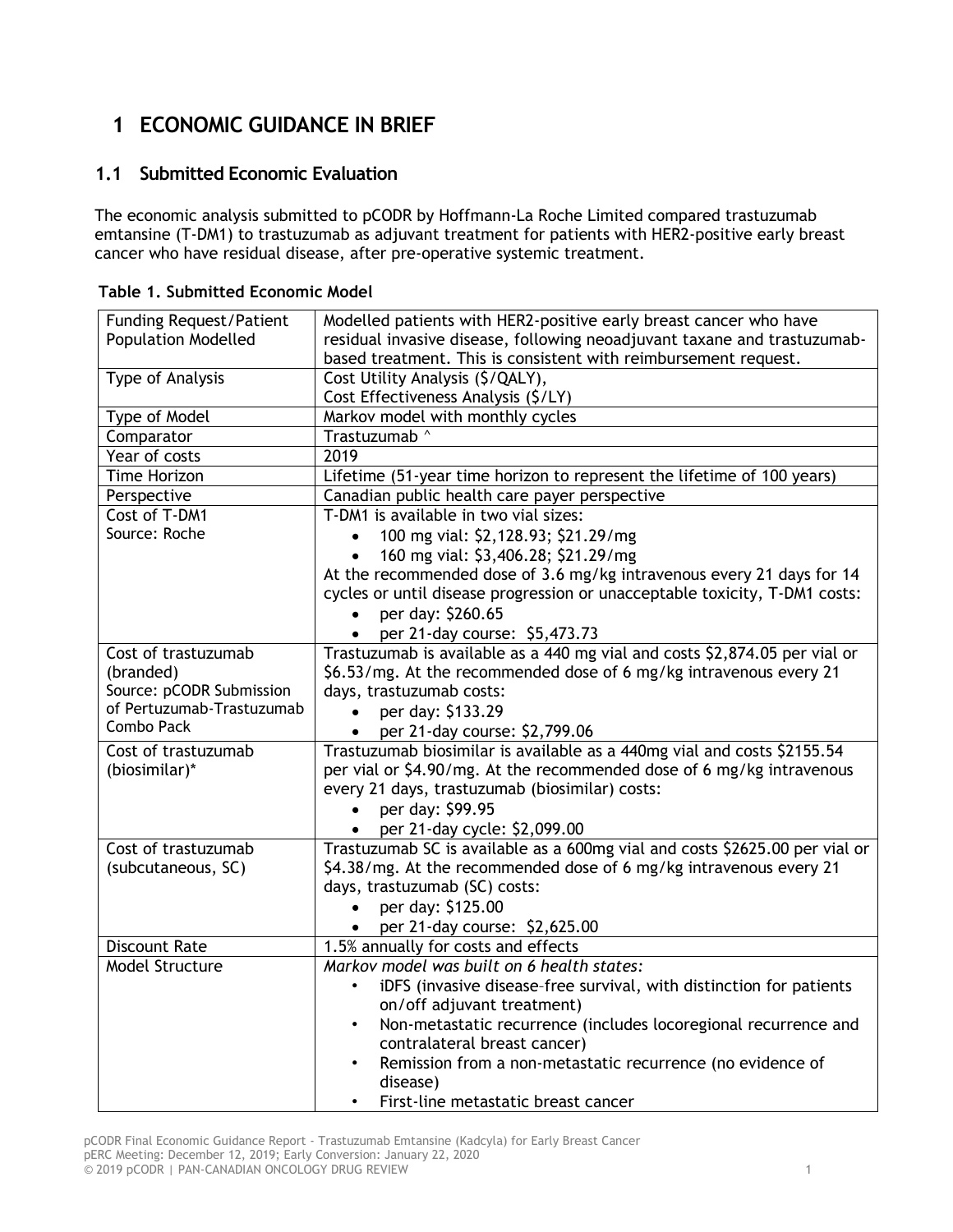# **1 ECONOMIC GUIDANCE IN BRIEF**

### **1.1 Submitted Economic Evaluation**

The economic analysis submitted to pCODR by Hoffmann-La Roche Limited compared trastuzumab emtansine (T-DM1) to trastuzumab as adjuvant treatment for patients with HER2-positive early breast cancer who have residual disease, after pre-operative systemic treatment.

| <b>Funding Request/Patient</b> | Modelled patients with HER2-positive early breast cancer who have           |  |  |  |  |
|--------------------------------|-----------------------------------------------------------------------------|--|--|--|--|
| <b>Population Modelled</b>     | residual invasive disease, following neoadjuvant taxane and trastuzumab-    |  |  |  |  |
|                                | based treatment. This is consistent with reimbursement request.             |  |  |  |  |
| Type of Analysis               | Cost Utility Analysis (\$/QALY),                                            |  |  |  |  |
|                                | Cost Effectiveness Analysis (\$/LY)                                         |  |  |  |  |
| Type of Model                  | Markov model with monthly cycles                                            |  |  |  |  |
| Comparator                     | Trastuzumab ^                                                               |  |  |  |  |
| Year of costs                  | 2019                                                                        |  |  |  |  |
| Time Horizon                   | Lifetime (51-year time horizon to represent the lifetime of 100 years)      |  |  |  |  |
| Perspective                    | Canadian public health care payer perspective                               |  |  |  |  |
| Cost of T-DM1                  | T-DM1 is available in two vial sizes:                                       |  |  |  |  |
| Source: Roche                  | 100 mg vial: \$2,128.93; \$21.29/mg                                         |  |  |  |  |
|                                | 160 mg vial: \$3,406.28; \$21.29/mg                                         |  |  |  |  |
|                                | At the recommended dose of 3.6 mg/kg intravenous every 21 days for 14       |  |  |  |  |
|                                | cycles or until disease progression or unacceptable toxicity, T-DM1 costs:  |  |  |  |  |
|                                | per day: \$260.65                                                           |  |  |  |  |
|                                | per 21-day course: \$5,473.73                                               |  |  |  |  |
| Cost of trastuzumab            | Trastuzumab is available as a 440 mg vial and costs \$2,874.05 per vial or  |  |  |  |  |
| (branded)                      | \$6.53/mg. At the recommended dose of 6 mg/kg intravenous every 21          |  |  |  |  |
| Source: pCODR Submission       | days, trastuzumab costs:                                                    |  |  |  |  |
| of Pertuzumab-Trastuzumab      | per day: \$133.29                                                           |  |  |  |  |
| Combo Pack                     | per 21-day course: \$2,799.06<br>$\bullet$                                  |  |  |  |  |
| Cost of trastuzumab            | Trastuzumab biosimilar is available as a 440mg vial and costs \$2155.54     |  |  |  |  |
| (biosimilar)*                  | per vial or \$4.90/mg. At the recommended dose of 6 mg/kg intravenous       |  |  |  |  |
|                                | every 21 days, trastuzumab (biosimilar) costs:                              |  |  |  |  |
|                                | per day: \$99.95<br>$\bullet$                                               |  |  |  |  |
|                                | per 21-day cycle: \$2,099.00                                                |  |  |  |  |
| Cost of trastuzumab            | Trastuzumab SC is available as a 600mg vial and costs \$2625.00 per vial or |  |  |  |  |
| (subcutaneous, SC)             | \$4.38/mg. At the recommended dose of 6 mg/kg intravenous every 21          |  |  |  |  |
|                                | days, trastuzumab (SC) costs:                                               |  |  |  |  |
|                                | per day: \$125.00                                                           |  |  |  |  |
|                                | • per 21-day course: $$2,625.00$                                            |  |  |  |  |
| <b>Discount Rate</b>           | 1.5% annually for costs and effects                                         |  |  |  |  |
| Model Structure                | Markov model was built on 6 health states:                                  |  |  |  |  |
|                                | iDFS (invasive disease-free survival, with distinction for patients         |  |  |  |  |
|                                | on/off adjuvant treatment)                                                  |  |  |  |  |
|                                | Non-metastatic recurrence (includes locoregional recurrence and             |  |  |  |  |
|                                | contralateral breast cancer)                                                |  |  |  |  |
|                                | Remission from a non-metastatic recurrence (no evidence of                  |  |  |  |  |
|                                | disease)                                                                    |  |  |  |  |
|                                | First-line metastatic breast cancer                                         |  |  |  |  |

**Table 1. Submitted Economic Model**

pCODR Final Economic Guidance Report - Trastuzumab Emtansine (Kadcyla) for Early Breast Cancer pERC Meeting: December 12, 2019; Early Conversion: January 22, 2020 © 2019 pCODR | PAN-CANADIAN ONCOLOGY DRUG REVIEW 1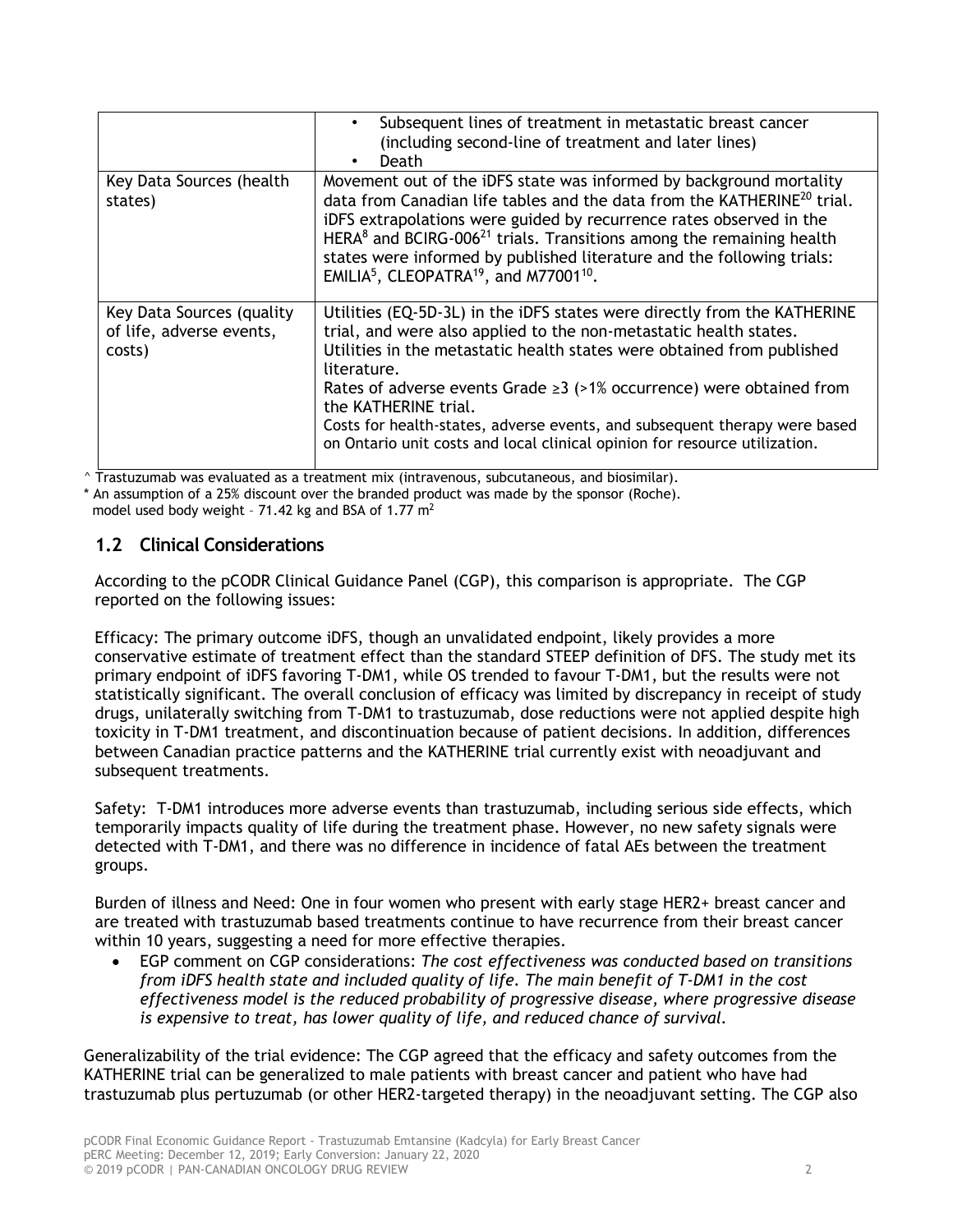|                                                                 | Subsequent lines of treatment in metastatic breast cancer<br>(including second-line of treatment and later lines)<br>Death                                                                                                                                                                                                                                                                                                                                                                               |
|-----------------------------------------------------------------|----------------------------------------------------------------------------------------------------------------------------------------------------------------------------------------------------------------------------------------------------------------------------------------------------------------------------------------------------------------------------------------------------------------------------------------------------------------------------------------------------------|
| Key Data Sources (health<br>states)                             | Movement out of the iDFS state was informed by background mortality<br>data from Canadian life tables and the data from the KATHERINE <sup>20</sup> trial.<br>iDFS extrapolations were guided by recurrence rates observed in the<br>HERA $8$ and BCIRG-006 <sup>21</sup> trials. Transitions among the remaining health<br>states were informed by published literature and the following trials:<br>EMILIA <sup>5</sup> , CLEOPATRA <sup>19</sup> , and M77001 <sup>10</sup> .                         |
| Key Data Sources (quality<br>of life, adverse events,<br>costs) | Utilities (EQ-5D-3L) in the iDFS states were directly from the KATHERINE<br>trial, and were also applied to the non-metastatic health states.<br>Utilities in the metastatic health states were obtained from published<br>literature.<br>Rates of adverse events Grade $\geq 3$ (>1% occurrence) were obtained from<br>the KATHERINE trial.<br>Costs for health-states, adverse events, and subsequent therapy were based<br>on Ontario unit costs and local clinical opinion for resource utilization. |

^ Trastuzumab was evaluated as a treatment mix (intravenous, subcutaneous, and biosimilar).

An assumption of a 25% discount over the branded product was made by the sponsor (Roche).

model used body weight - 71.42 kg and BSA of 1.77  $m<sup>2</sup>$ 

### **1.2 Clinical Considerations**

According to the pCODR Clinical Guidance Panel (CGP), this comparison is appropriate. The CGP reported on the following issues:

Efficacy: The primary outcome iDFS, though an unvalidated endpoint, likely provides a more conservative estimate of treatment effect than the standard STEEP definition of DFS. The study met its primary endpoint of iDFS favoring T-DM1, while OS trended to favour T-DM1, but the results were not statistically significant. The overall conclusion of efficacy was limited by discrepancy in receipt of study drugs, unilaterally switching from T-DM1 to trastuzumab, dose reductions were not applied despite high toxicity in T-DM1 treatment, and discontinuation because of patient decisions. In addition, differences between Canadian practice patterns and the KATHERINE trial currently exist with neoadjuvant and subsequent treatments.

Safety: T-DM1 introduces more adverse events than trastuzumab, including serious side effects, which temporarily impacts quality of life during the treatment phase. However, no new safety signals were detected with T-DM1, and there was no difference in incidence of fatal AEs between the treatment groups.

Burden of illness and Need: One in four women who present with early stage HER2+ breast cancer and are treated with trastuzumab based treatments continue to have recurrence from their breast cancer within 10 years, suggesting a need for more effective therapies.

• EGP comment on CGP considerations: *The cost effectiveness was conducted based on transitions from iDFS health state and included quality of life. The main benefit of T-DM1 in the cost effectiveness model is the reduced probability of progressive disease, where progressive disease is expensive to treat, has lower quality of life, and reduced chance of survival.* 

Generalizability of the trial evidence: The CGP agreed that the efficacy and safety outcomes from the KATHERINE trial can be generalized to male patients with breast cancer and patient who have had trastuzumab plus pertuzumab (or other HER2-targeted therapy) in the neoadjuvant setting. The CGP also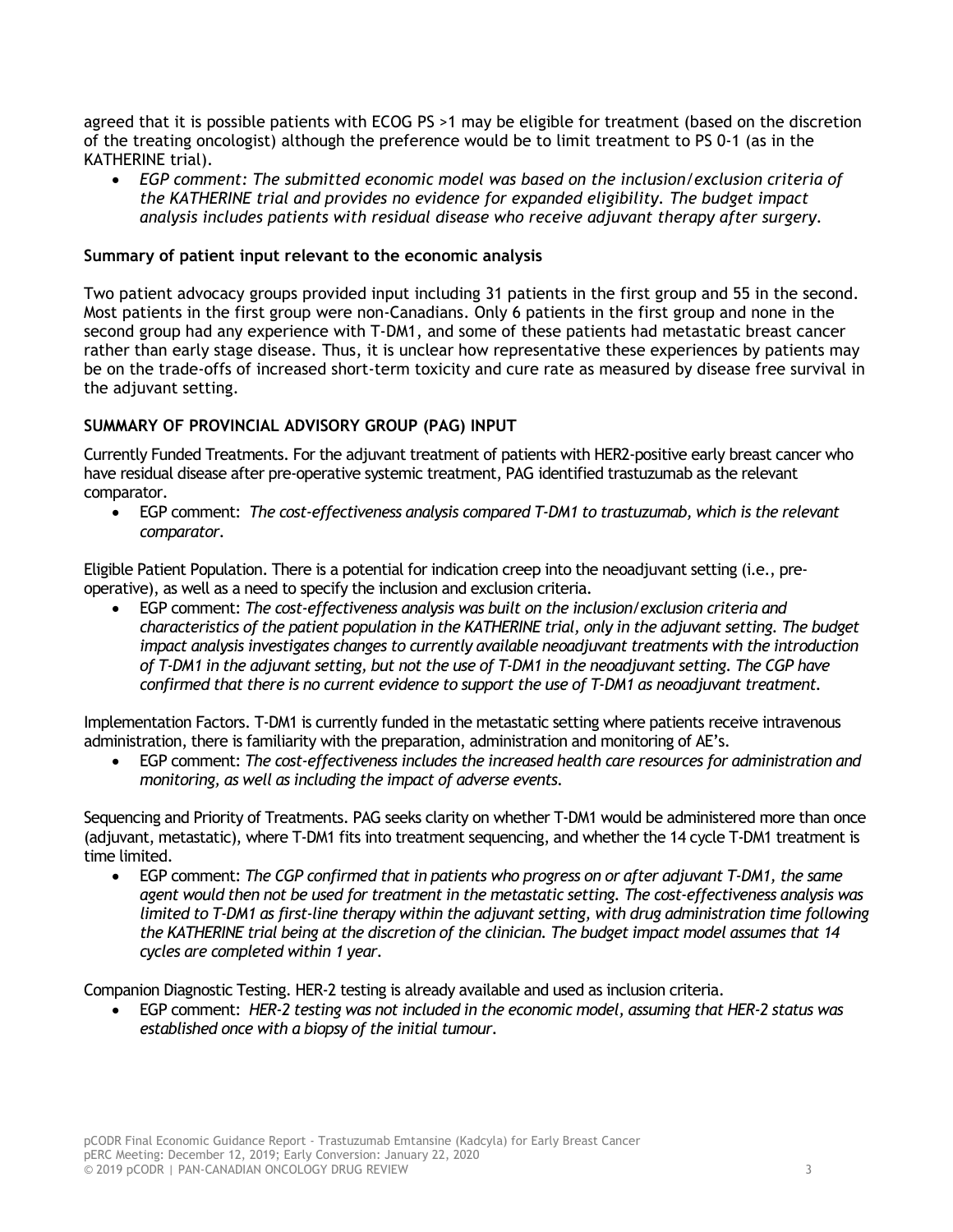agreed that it is possible patients with ECOG PS >1 may be eligible for treatment (based on the discretion of the treating oncologist) although the preference would be to limit treatment to PS 0-1 (as in the KATHERINE trial).

• *EGP comment: The submitted economic model was based on the inclusion/exclusion criteria of the KATHERINE trial and provides no evidence for expanded eligibility. The budget impact analysis includes patients with residual disease who receive adjuvant therapy after surgery.*

#### **Summary of patient input relevant to the economic analysis**

Two patient advocacy groups provided input including 31 patients in the first group and 55 in the second. Most patients in the first group were non-Canadians. Only 6 patients in the first group and none in the second group had any experience with T-DM1, and some of these patients had metastatic breast cancer rather than early stage disease. Thus, it is unclear how representative these experiences by patients may be on the trade-offs of increased short-term toxicity and cure rate as measured by disease free survival in the adjuvant setting.

#### **SUMMARY OF PROVINCIAL ADVISORY GROUP (PAG) INPUT**

Currently Funded Treatments. For the adjuvant treatment of patients with HER2-positive early breast cancer who have residual disease after pre-operative systemic treatment, PAG identified trastuzumab as the relevant comparator.

• EGP comment: *The cost-effectiveness analysis compared T-DM1 to trastuzumab, which is the relevant comparator.*

Eligible Patient Population. There is a potential for indication creep into the neoadjuvant setting (i.e., preoperative), as well as a need to specify the inclusion and exclusion criteria.

• EGP comment: *The cost-effectiveness analysis was built on the inclusion/exclusion criteria and characteristics of the patient population in the KATHERINE trial, only in the adjuvant setting. The budget impact analysis investigates changes to currently available neoadjuvant treatments with the introduction of T-DM1 in the adjuvant setting, but not the use of T-DM1 in the neoadjuvant setting. The CGP have confirmed that there is no current evidence to support the use of T-DM1 as neoadjuvant treatment.*

Implementation Factors. T-DM1 is currently funded in the metastatic setting where patients receive intravenous administration, there is familiarity with the preparation, administration and monitoring of AE's.

• EGP comment: *The cost-effectiveness includes the increased health care resources for administration and monitoring, as well as including the impact of adverse events.*

Sequencing and Priority of Treatments. PAG seeks clarity on whether T-DM1 would be administered more than once (adjuvant, metastatic), where T-DM1 fits into treatment sequencing, and whether the 14 cycle T-DM1 treatment is time limited.

• EGP comment: *The CGP confirmed that in patients who progress on or after adjuvant T-DM1, the same agent would then not be used for treatment in the metastatic setting. The cost-effectiveness analysis was limited to T-DM1 as first-line therapy within the adjuvant setting, with drug administration time following the KATHERINE trial being at the discretion of the clinician. The budget impact model assumes that 14 cycles are completed within 1 year.*

Companion Diagnostic Testing. HER-2 testing is already available and used as inclusion criteria.

• EGP comment: *HER-2 testing was not included in the economic model, assuming that HER-2 status was established once with a biopsy of the initial tumour.*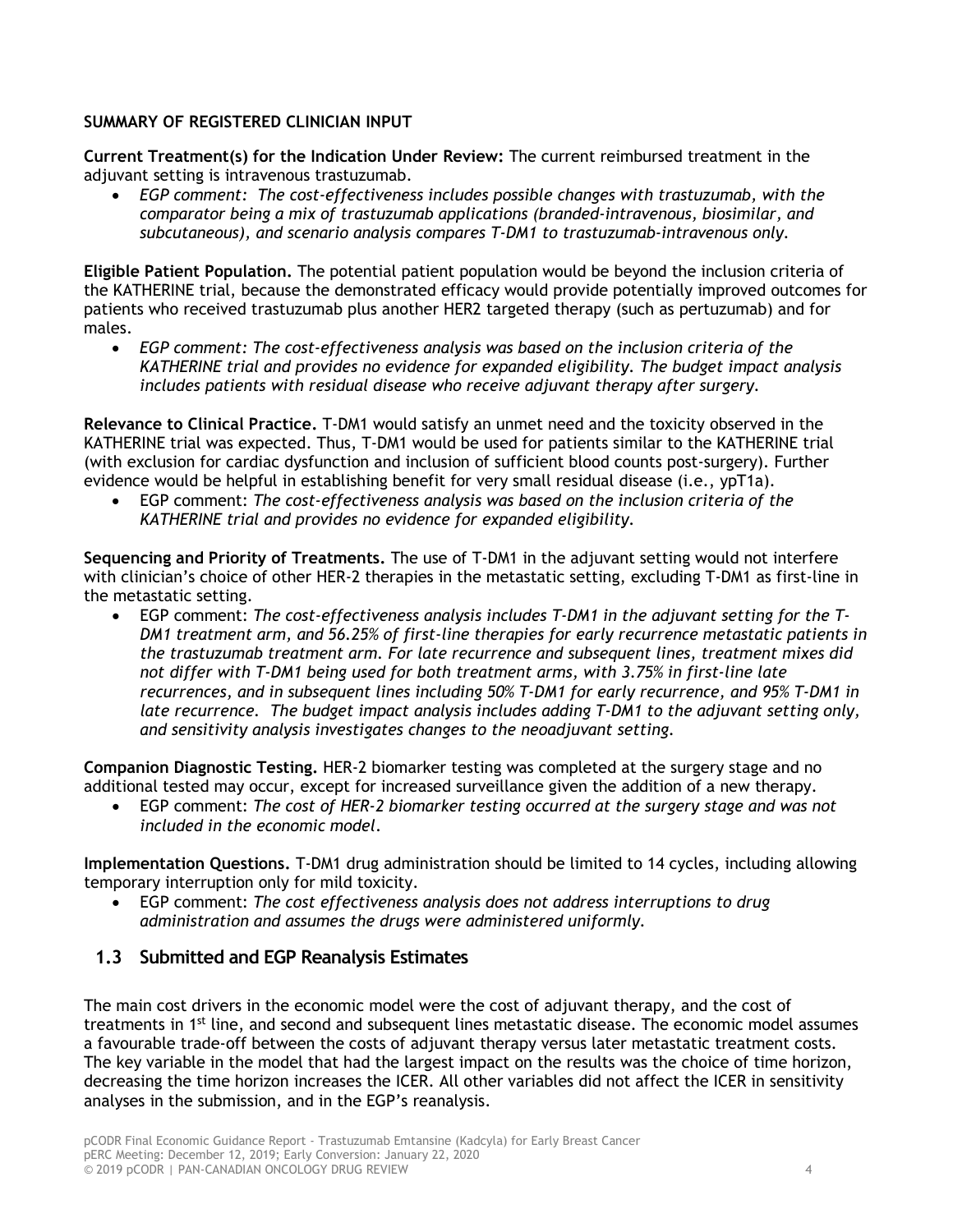#### **SUMMARY OF REGISTERED CLINICIAN INPUT**

**Current Treatment(s) for the Indication Under Review:** The current reimbursed treatment in the adjuvant setting is intravenous trastuzumab.

• *EGP comment: The cost-effectiveness includes possible changes with trastuzumab, with the comparator being a mix of trastuzumab applications (branded-intravenous, biosimilar, and subcutaneous), and scenario analysis compares T-DM1 to trastuzumab-intravenous only.* 

**Eligible Patient Population.** The potential patient population would be beyond the inclusion criteria of the KATHERINE trial, because the demonstrated efficacy would provide potentially improved outcomes for patients who received trastuzumab plus another HER2 targeted therapy (such as pertuzumab) and for males.

• *EGP comment: The cost-effectiveness analysis was based on the inclusion criteria of the KATHERINE trial and provides no evidence for expanded eligibility. The budget impact analysis includes patients with residual disease who receive adjuvant therapy after surgery.*

**Relevance to Clinical Practice.** T-DM1 would satisfy an unmet need and the toxicity observed in the KATHERINE trial was expected. Thus, T-DM1 would be used for patients similar to the KATHERINE trial (with exclusion for cardiac dysfunction and inclusion of sufficient blood counts post-surgery). Further evidence would be helpful in establishing benefit for very small residual disease (i.e., ypT1a).

• EGP comment: *The cost-effectiveness analysis was based on the inclusion criteria of the KATHERINE trial and provides no evidence for expanded eligibility.*

**Sequencing and Priority of Treatments.** The use of T-DM1 in the adjuvant setting would not interfere with clinician's choice of other HER-2 therapies in the metastatic setting, excluding T-DM1 as first-line in the metastatic setting.

• EGP comment: *The cost-effectiveness analysis includes T-DM1 in the adjuvant setting for the T-DM1 treatment arm, and 56.25% of first-line therapies for early recurrence metastatic patients in the trastuzumab treatment arm. For late recurrence and subsequent lines, treatment mixes did not differ with T-DM1 being used for both treatment arms, with 3.75% in first-line late recurrences, and in subsequent lines including 50% T-DM1 for early recurrence, and 95% T-DM1 in late recurrence. The budget impact analysis includes adding T-DM1 to the adjuvant setting only, and sensitivity analysis investigates changes to the neoadjuvant setting.* 

**Companion Diagnostic Testing.** HER-2 biomarker testing was completed at the surgery stage and no additional tested may occur, except for increased surveillance given the addition of a new therapy.

• EGP comment: *The cost of HER-2 biomarker testing occurred at the surgery stage and was not included in the economic model*.

**Implementation Questions.** T-DM1 drug administration should be limited to 14 cycles, including allowing temporary interruption only for mild toxicity.

• EGP comment: *The cost effectiveness analysis does not address interruptions to drug administration and assumes the drugs were administered uniformly.*

### **1.3 Submitted and EGP Reanalysis Estimates**

The main cost drivers in the economic model were the cost of adjuvant therapy, and the cost of treatments in 1<sup>st</sup> line, and second and subsequent lines metastatic disease. The economic model assumes a favourable trade-off between the costs of adjuvant therapy versus later metastatic treatment costs. The key variable in the model that had the largest impact on the results was the choice of time horizon, decreasing the time horizon increases the ICER. All other variables did not affect the ICER in sensitivity analyses in the submission, and in the EGP's reanalysis.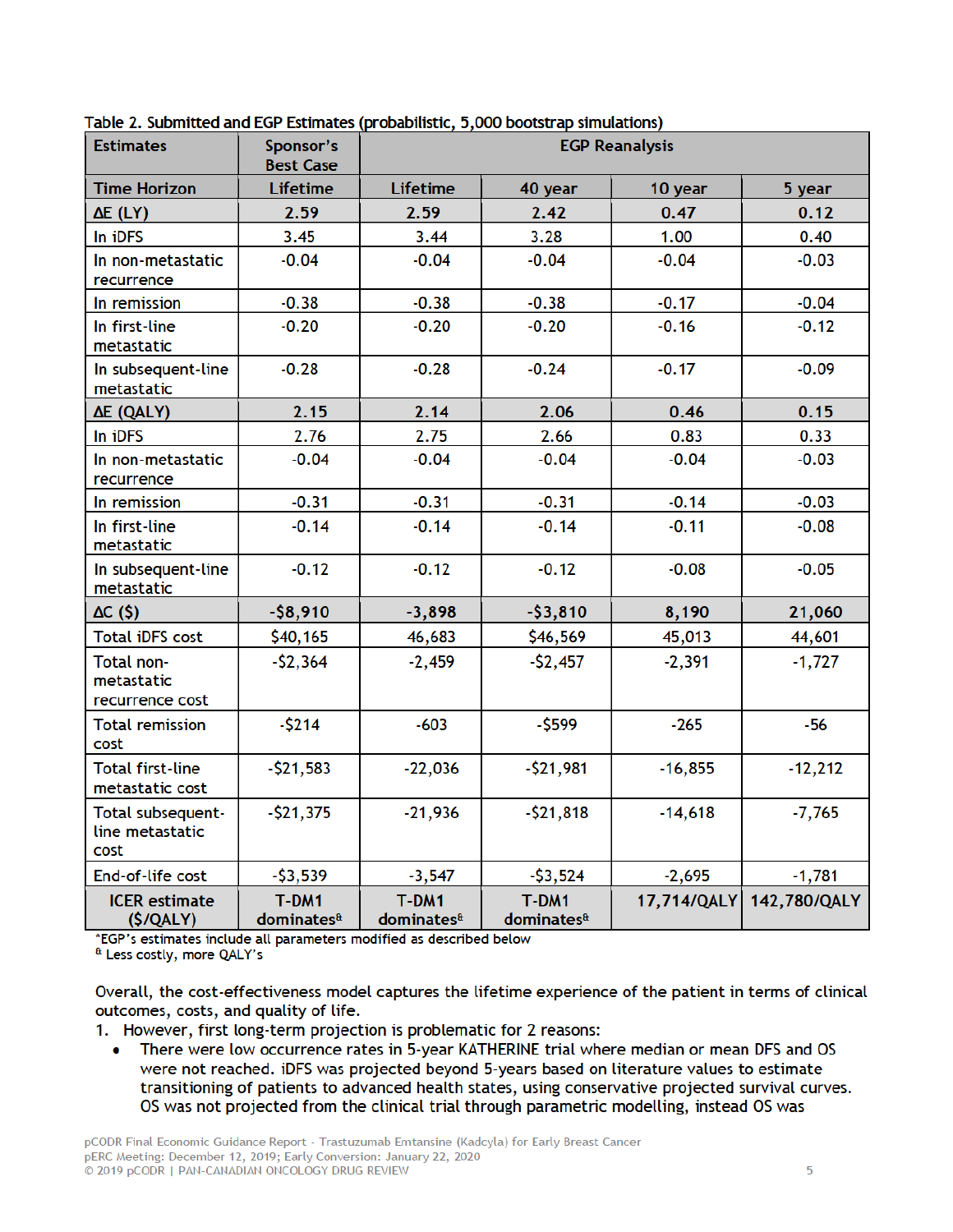| <b>Estimates</b>                             | Sponsor's<br><b>Best Case</b>     | <b>EGP Reanalysis</b>           |                                 |             |              |
|----------------------------------------------|-----------------------------------|---------------------------------|---------------------------------|-------------|--------------|
| <b>Time Horizon</b>                          | <b>Lifetime</b>                   | <b>Lifetime</b>                 | 40 year                         | 10 year     | 5 year       |
| $\Delta E$ (LY)                              | 2.59                              | 2.59                            | 2.42                            | 0.47        | 0.12         |
| In iDFS                                      | 3.45                              | 3.44                            | 3.28                            | 1.00        | 0.40         |
| In non-metastatic<br>recurrence              | $-0.04$                           | $-0.04$                         | $-0.04$                         | $-0.04$     | $-0.03$      |
| In remission                                 | $-0.38$                           | $-0.38$                         | $-0.38$                         | $-0.17$     | $-0.04$      |
| In first-line<br>metastatic                  | $-0.20$                           | $-0.20$                         | $-0.20$                         | $-0.16$     | $-0.12$      |
| In subsequent-line<br>metastatic             | $-0.28$                           | $-0.28$                         | $-0.24$                         | $-0.17$     | $-0.09$      |
| ΔΕ (QALY)                                    | 2.15                              | 2.14                            | 2.06                            | 0.46        | 0.15         |
| In iDFS                                      | 2.76                              | 2.75                            | 2.66                            | 0.83        | 0.33         |
| In non-metastatic<br>recurrence              | $-0.04$                           | $-0.04$                         | $-0.04$                         | $-0.04$     | $-0.03$      |
| In remission                                 | $-0.31$                           | $-0.31$                         | $-0.31$                         | $-0.14$     | $-0.03$      |
| In first-line<br>metastatic                  | $-0.14$                           | $-0.14$                         | $-0.14$                         | $-0.11$     | $-0.08$      |
| In subsequent-line<br>metastatic             | $-0.12$                           | $-0.12$                         | $-0.12$                         | $-0.08$     | $-0.05$      |
| AC(5)                                        | $-58,910$                         | $-3,898$                        | $-53,810$                       | 8,190       | 21,060       |
| <b>Total iDFS cost</b>                       | \$40,165                          | 46,683                          | \$46,569                        | 45,013      | 44,601       |
| Total non-<br>metastatic<br>recurrence cost  | $-52,364$                         | $-2,459$                        | $-52,457$                       | $-2,391$    | $-1,727$     |
| <b>Total remission</b><br>cost               | $-5214$                           | $-603$                          | $-5599$                         | $-265$      | $-56$        |
| <b>Total first-line</b><br>metastatic cost   | $-$ \$21,583                      | $-22,036$                       | $-521,981$                      | $-16,855$   | $-12,212$    |
| Total subsequent-<br>line metastatic<br>cost | $-$21,375$                        | $-21,936$                       | $-521,818$                      | $-14,618$   | $-7,765$     |
| End-of-life cost                             | $-53,539$                         | $-3,547$                        | $-53,524$                       | $-2,695$    | $-1,781$     |
| <b>ICER</b> estimate<br>(S/QALY)             | $T-DM1$<br>dominates <sup>a</sup> | T-DM1<br>dominates <sup>a</sup> | T-DM1<br>dominates <sup>a</sup> | 17,714/QALY | 142,780/QALY |

Table 2. Submitted and EGP Estimates (probabilistic, 5,000 bootstrap simulations)

\*EGP's estimates include all parameters modified as described below

<sup>&</sup> Less costly, more QALY's

Overall, the cost-effectiveness model captures the lifetime experience of the patient in terms of clinical outcomes, costs, and quality of life.

1. However, first long-term projection is problematic for 2 reasons:

There were low occurrence rates in 5-year KATHERINE trial where median or mean DFS and OS  $\bullet$ were not reached. iDFS was projected beyond 5-years based on literature values to estimate transitioning of patients to advanced health states, using conservative projected survival curves. OS was not projected from the clinical trial through parametric modelling, instead OS was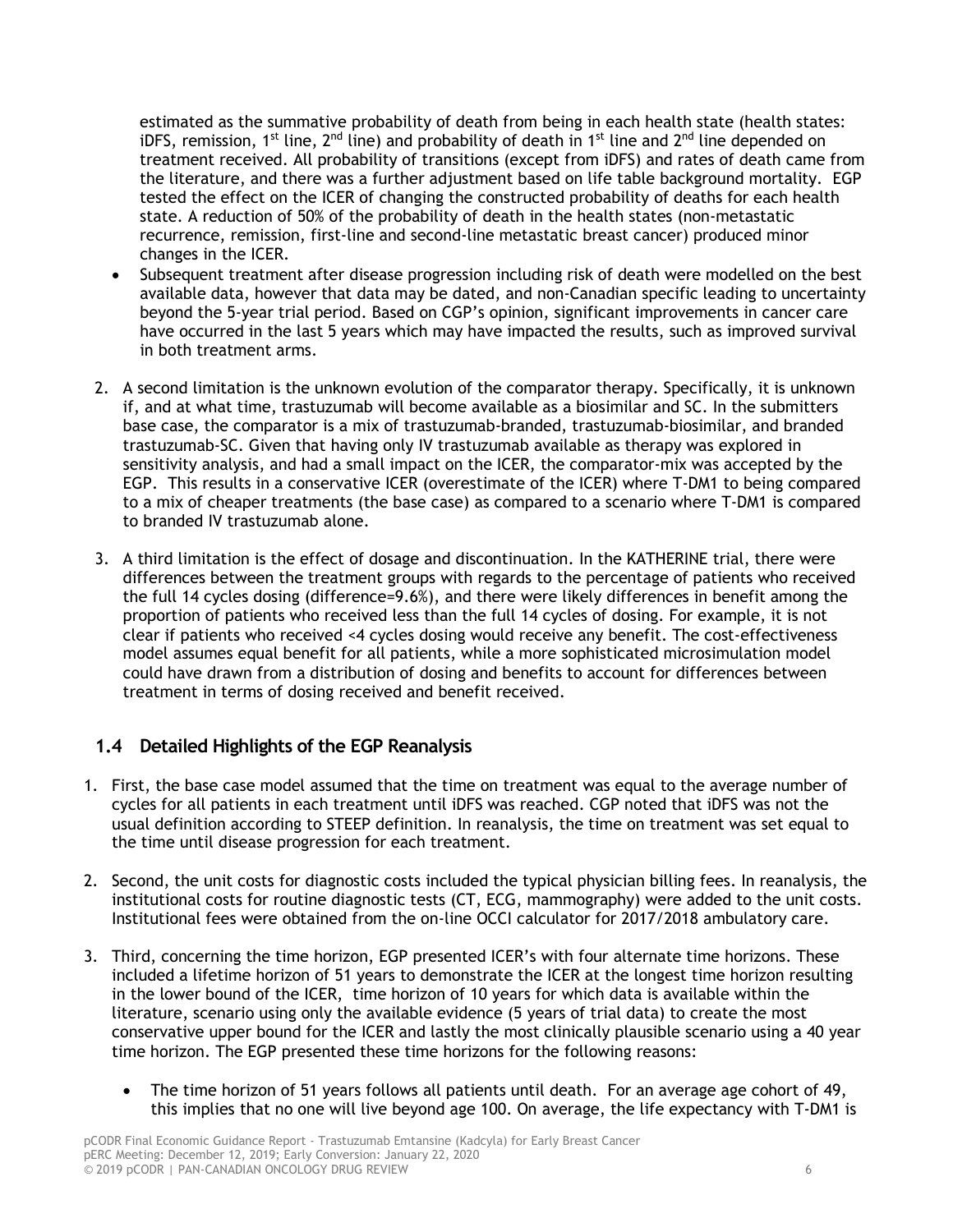estimated as the summative probability of death from being in each health state (health states: iDFS, remission, 1<sup>st</sup> line, 2<sup>nd</sup> line) and probability of death in 1<sup>st</sup> line and 2<sup>nd</sup> line depended on treatment received. All probability of transitions (except from iDFS) and rates of death came from the literature, and there was a further adjustment based on life table background mortality. EGP tested the effect on the ICER of changing the constructed probability of deaths for each health state. A reduction of 50% of the probability of death in the health states (non-metastatic recurrence, remission, first-line and second-line metastatic breast cancer) produced minor changes in the ICER.

- Subsequent treatment after disease progression including risk of death were modelled on the best available data, however that data may be dated, and non-Canadian specific leading to uncertainty beyond the 5-year trial period. Based on CGP's opinion, significant improvements in cancer care have occurred in the last 5 years which may have impacted the results, such as improved survival in both treatment arms.
- 2. A second limitation is the unknown evolution of the comparator therapy. Specifically, it is unknown if, and at what time, trastuzumab will become available as a biosimilar and SC. In the submitters base case, the comparator is a mix of trastuzumab-branded, trastuzumab-biosimilar, and branded trastuzumab-SC. Given that having only IV trastuzumab available as therapy was explored in sensitivity analysis, and had a small impact on the ICER, the comparator-mix was accepted by the EGP. This results in a conservative ICER (overestimate of the ICER) where T-DM1 to being compared to a mix of cheaper treatments (the base case) as compared to a scenario where T-DM1 is compared to branded IV trastuzumab alone.
- 3. A third limitation is the effect of dosage and discontinuation. In the KATHERINE trial, there were differences between the treatment groups with regards to the percentage of patients who received the full 14 cycles dosing (difference=9.6%), and there were likely differences in benefit among the proportion of patients who received less than the full 14 cycles of dosing. For example, it is not clear if patients who received <4 cycles dosing would receive any benefit. The cost-effectiveness model assumes equal benefit for all patients, while a more sophisticated microsimulation model could have drawn from a distribution of dosing and benefits to account for differences between treatment in terms of dosing received and benefit received.

### **1.4 Detailed Highlights of the EGP Reanalysis**

- 1. First, the base case model assumed that the time on treatment was equal to the average number of cycles for all patients in each treatment until iDFS was reached. CGP noted that iDFS was not the usual definition according to STEEP definition. In reanalysis, the time on treatment was set equal to the time until disease progression for each treatment.
- 2. Second, the unit costs for diagnostic costs included the typical physician billing fees. In reanalysis, the institutional costs for routine diagnostic tests (CT, ECG, mammography) were added to the unit costs. Institutional fees were obtained from the on-line OCCI calculator for 2017/2018 ambulatory care.
- 3. Third, concerning the time horizon, EGP presented ICER's with four alternate time horizons. These included a lifetime horizon of 51 years to demonstrate the ICER at the longest time horizon resulting in the lower bound of the ICER, time horizon of 10 years for which data is available within the literature, scenario using only the available evidence (5 years of trial data) to create the most conservative upper bound for the ICER and lastly the most clinically plausible scenario using a 40 year time horizon. The EGP presented these time horizons for the following reasons:
	- The time horizon of 51 years follows all patients until death. For an average age cohort of 49, this implies that no one will live beyond age 100. On average, the life expectancy with T-DM1 is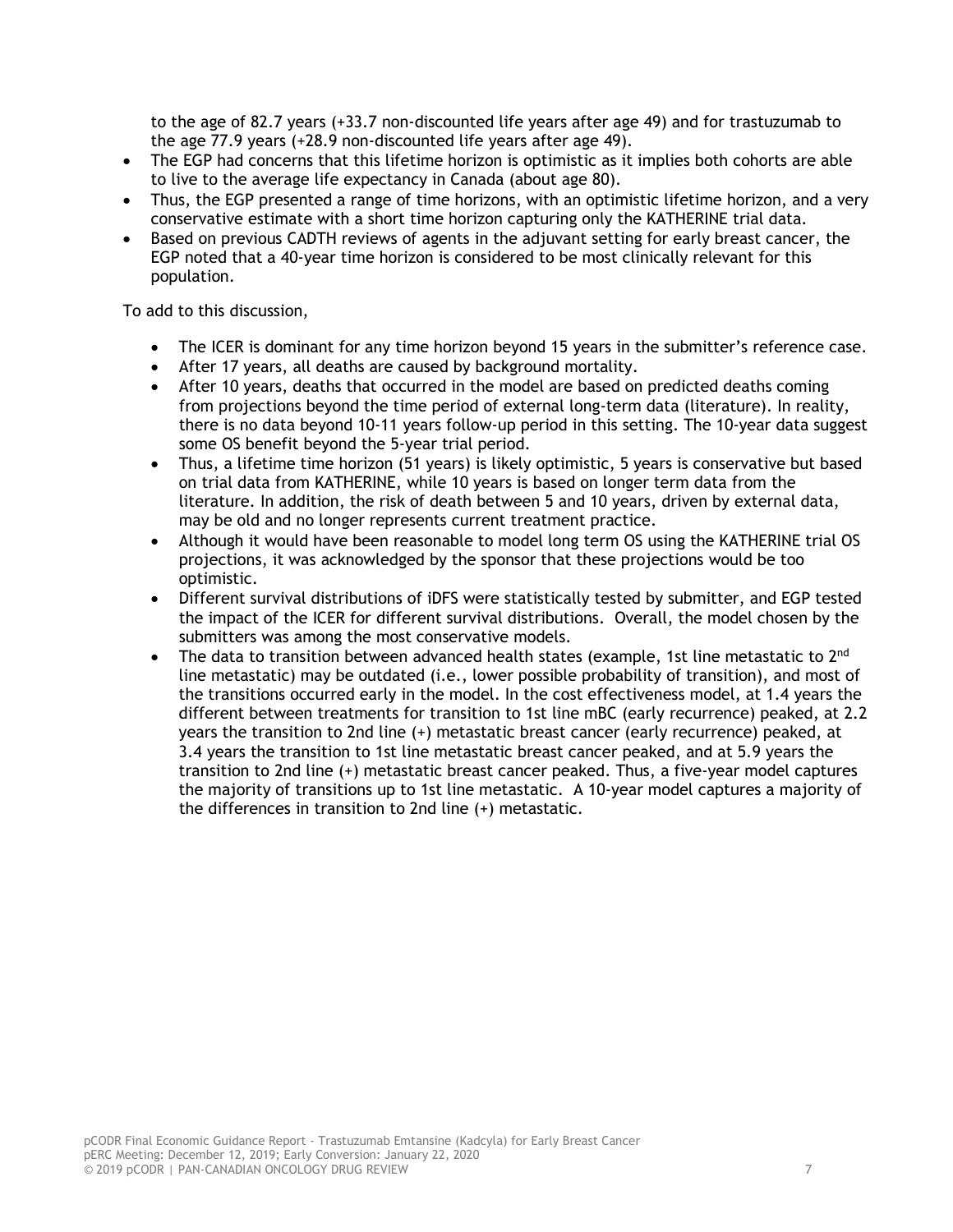to the age of 82.7 years (+33.7 non-discounted life years after age 49) and for trastuzumab to the age 77.9 years (+28.9 non-discounted life years after age 49).

- The EGP had concerns that this lifetime horizon is optimistic as it implies both cohorts are able to live to the average life expectancy in Canada (about age 80).
- Thus, the EGP presented a range of time horizons, with an optimistic lifetime horizon, and a very conservative estimate with a short time horizon capturing only the KATHERINE trial data.
- Based on previous CADTH reviews of agents in the adjuvant setting for early breast cancer, the EGP noted that a 40-year time horizon is considered to be most clinically relevant for this population.

To add to this discussion,

- The ICER is dominant for any time horizon beyond 15 years in the submitter's reference case.
- After 17 years, all deaths are caused by background mortality.
- After 10 years, deaths that occurred in the model are based on predicted deaths coming from projections beyond the time period of external long-term data (literature). In reality, there is no data beyond 10-11 years follow-up period in this setting. The 10-year data suggest some OS benefit beyond the 5-year trial period.
- Thus, a lifetime time horizon (51 years) is likely optimistic, 5 years is conservative but based on trial data from KATHERINE, while 10 years is based on longer term data from the literature. In addition, the risk of death between 5 and 10 years, driven by external data, may be old and no longer represents current treatment practice.
- Although it would have been reasonable to model long term OS using the KATHERINE trial OS projections, it was acknowledged by the sponsor that these projections would be too optimistic.
- Different survival distributions of iDFS were statistically tested by submitter, and EGP tested the impact of the ICER for different survival distributions. Overall, the model chosen by the submitters was among the most conservative models.
- The data to transition between advanced health states (example, 1st line metastatic to 2<sup>nd</sup> line metastatic) may be outdated (i.e., lower possible probability of transition), and most of the transitions occurred early in the model. In the cost effectiveness model, at 1.4 years the different between treatments for transition to 1st line mBC (early recurrence) peaked, at 2.2 years the transition to 2nd line (+) metastatic breast cancer (early recurrence) peaked, at 3.4 years the transition to 1st line metastatic breast cancer peaked, and at 5.9 years the transition to 2nd line (+) metastatic breast cancer peaked. Thus, a five-year model captures the majority of transitions up to 1st line metastatic. A 10-year model captures a majority of the differences in transition to 2nd line (+) metastatic.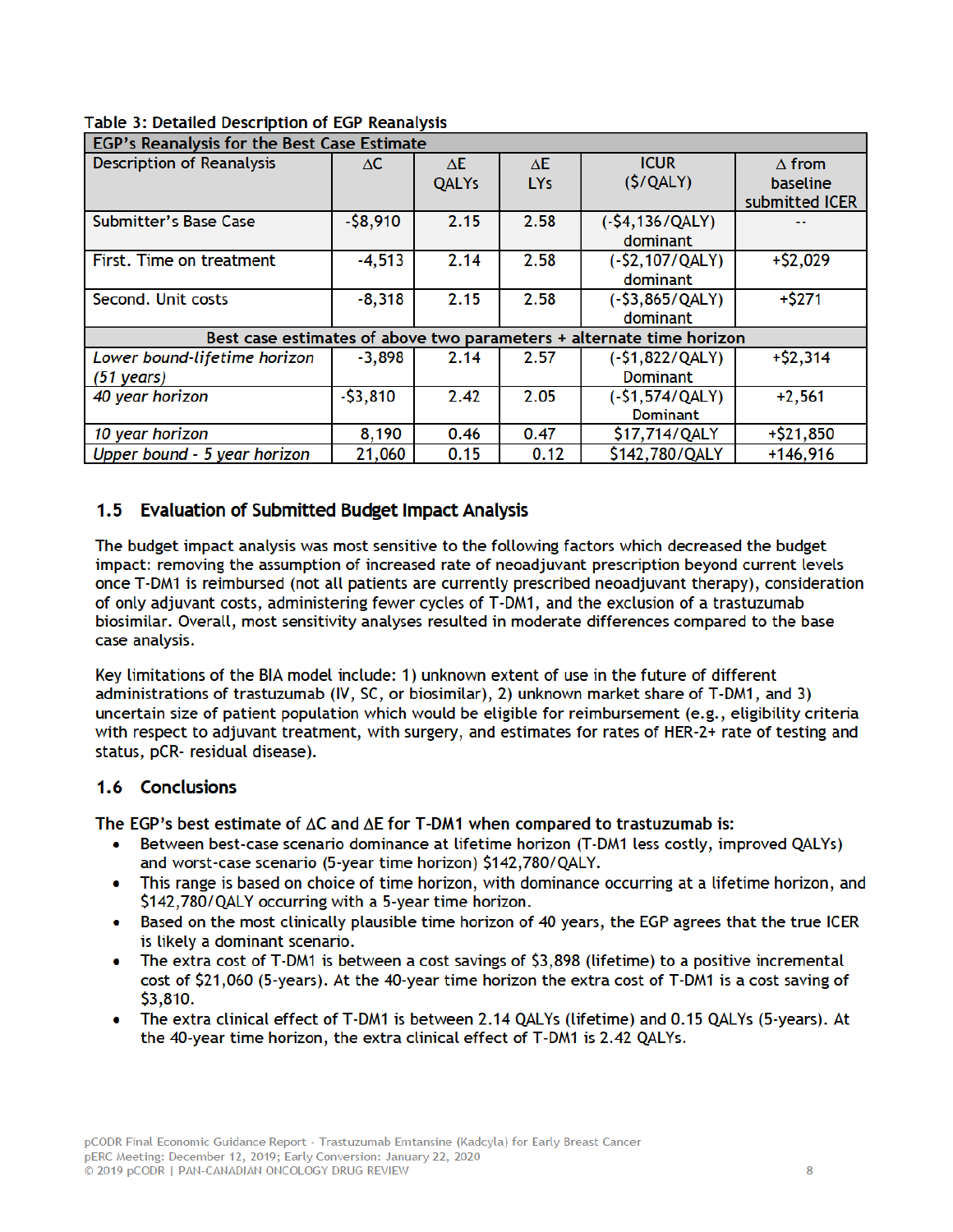| Table 3: Detailed Description of EGP Reanalysis |  |  |
|-------------------------------------------------|--|--|
|-------------------------------------------------|--|--|

| EGP's Reanalysis for the Best Case Estimate                          |           |              |                 |                   |                 |  |
|----------------------------------------------------------------------|-----------|--------------|-----------------|-------------------|-----------------|--|
| <b>Description of Reanalysis</b>                                     | ΔC        | ΛE.          | ΔE              | <b>ICUR</b>       | $\Delta$ from   |  |
|                                                                      |           | <b>QALYs</b> | LY <sub>s</sub> | (S/QALY)          | <b>baseline</b> |  |
|                                                                      |           |              |                 |                   | submitted ICER  |  |
| <b>Submitter's Base Case</b>                                         | $-58,910$ | 2.15         | 2.58            | $(-$4,136/QALY)$  |                 |  |
|                                                                      |           |              |                 | dominant          |                 |  |
| First. Time on treatment                                             | $-4,513$  | 2.14         | 2.58            | $(-52, 107/QALY)$ | $+ $2,029$      |  |
|                                                                      |           |              |                 | dominant          |                 |  |
| Second. Unit costs                                                   | $-8,318$  | 2.15         | 2.58            | $(-53,865/QALY)$  | $+5271$         |  |
|                                                                      |           |              |                 | dominant          |                 |  |
| Best case estimates of above two parameters + alternate time horizon |           |              |                 |                   |                 |  |
| Lower bound-lifetime horizon                                         | $-3,898$  | 2.14         | 2.57            | $(-51,822/QALY)$  | $+ $2,314$      |  |
| $(51 \text{ years})$                                                 |           |              |                 | <b>Dominant</b>   |                 |  |
| 40 year horizon                                                      | $-53,810$ | 2.42         | 2.05            | $(-$1,574/QALY)$  | $+2,561$        |  |
|                                                                      |           |              |                 | <b>Dominant</b>   |                 |  |
| 10 year horizon                                                      | 8,190     | 0.46         | 0.47            | \$17,714/QALY     | $+ $21,850$     |  |
| Upper bound - 5 year horizon                                         | 21,060    | 0.15         | 0.12            | \$142,780/QALY    | $+146,916$      |  |

### 1.5 Evaluation of Submitted Budget Impact Analysis

The budget impact analysis was most sensitive to the following factors which decreased the budget impact: removing the assumption of increased rate of neoadjuvant prescription beyond current levels once T-DM1 is reimbursed (not all patients are currently prescribed neoadjuvant therapy), consideration of only adjuvant costs, administering fewer cycles of T-DM1, and the exclusion of a trastuzumab biosimilar. Overall, most sensitivity analyses resulted in moderate differences compared to the base case analysis.

Key limitations of the BIA model include: 1) unknown extent of use in the future of different administrations of trastuzumab (IV, SC, or biosimilar), 2) unknown market share of T-DM1, and 3) uncertain size of patient population which would be eligible for reimbursement (e.g., eligibility criteria with respect to adjuvant treatment, with surgery, and estimates for rates of HER-2+ rate of testing and status, pCR- residual disease).

#### 1.6 Conclusions

The EGP's best estimate of  $\Delta C$  and  $\Delta E$  for T-DM1 when compared to trastuzumab is:

- Between best-case scenario dominance at lifetime horizon (T-DM1 less costly, improved QALYs) and worst-case scenario (5-year time horizon) \$142,780/QALY.
- This range is based on choice of time horizon, with dominance occurring at a lifetime horizon, and \$142,780/QALY occurring with a 5-year time horizon.
- Based on the most clinically plausible time horizon of 40 years, the EGP agrees that the true ICER is likely a dominant scenario.
- The extra cost of T-DM1 is between a cost savings of \$3,898 (lifetime) to a positive incremental cost of \$21,060 (5-years). At the 40-year time horizon the extra cost of T-DM1 is a cost saving of \$3,810.
- The extra clinical effect of T-DM1 is between 2.14 QALYs (lifetime) and 0.15 QALYs (5-years). At the 40-year time horizon, the extra clinical effect of T-DM1 is 2.42 QALYs.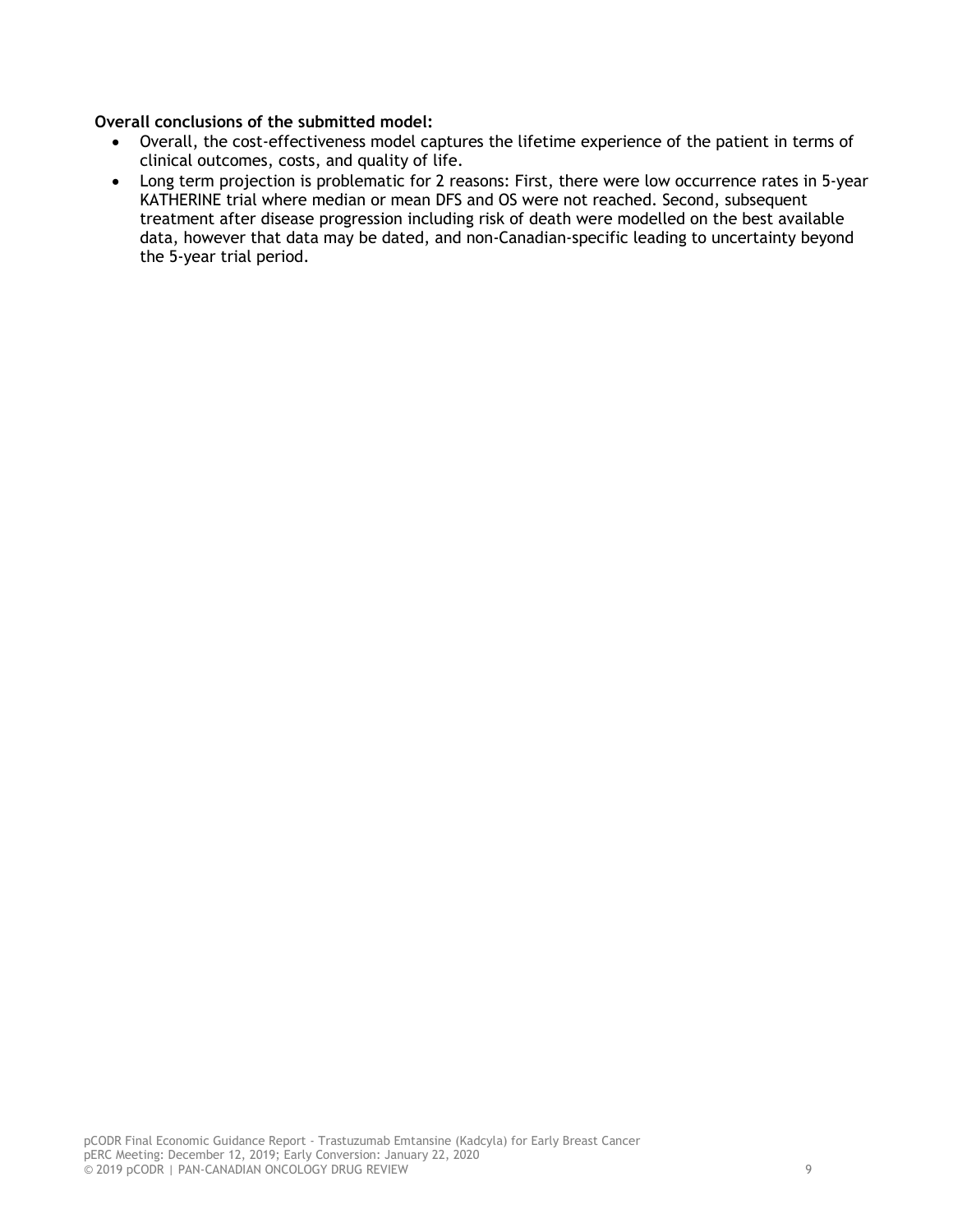#### **Overall conclusions of the submitted model:**

- Overall, the cost-effectiveness model captures the lifetime experience of the patient in terms of clinical outcomes, costs, and quality of life.
- Long term projection is problematic for 2 reasons: First, there were low occurrence rates in 5-year KATHERINE trial where median or mean DFS and OS were not reached. Second, subsequent treatment after disease progression including risk of death were modelled on the best available data, however that data may be dated, and non-Canadian-specific leading to uncertainty beyond the 5-year trial period.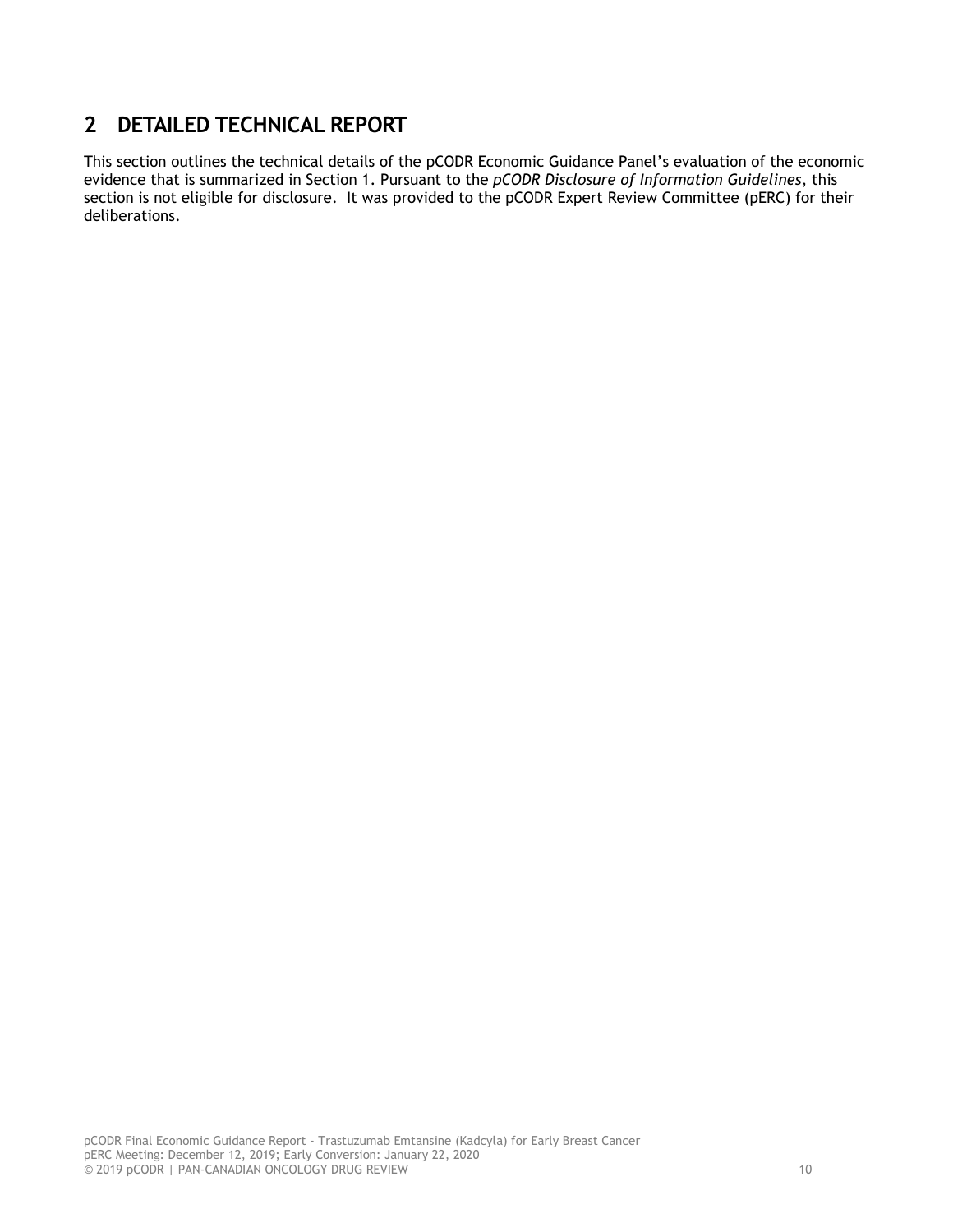## **2 DETAILED TECHNICAL REPORT**

This section outlines the technical details of the pCODR Economic Guidance Panel's evaluation of the economic evidence that is summarized in Section 1. Pursuant to the *pCODR Disclosure of Information Guidelines*, this section is not eligible for disclosure. It was provided to the pCODR Expert Review Committee (pERC) for their deliberations.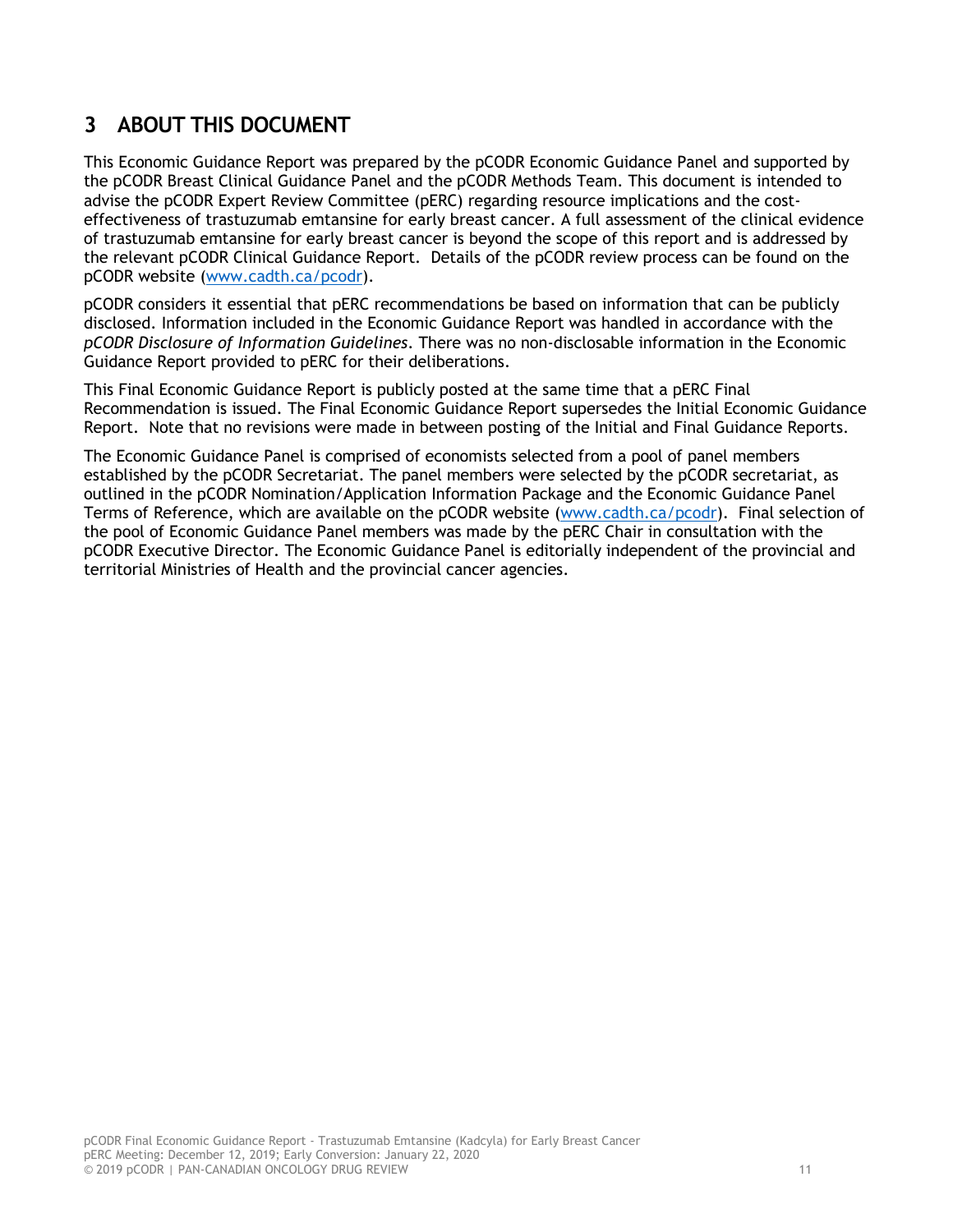# **3 ABOUT THIS DOCUMENT**

This Economic Guidance Report was prepared by the pCODR Economic Guidance Panel and supported by the pCODR Breast Clinical Guidance Panel and the pCODR Methods Team. This document is intended to advise the pCODR Expert Review Committee (pERC) regarding resource implications and the costeffectiveness of trastuzumab emtansine for early breast cancer. A full assessment of the clinical evidence of trastuzumab emtansine for early breast cancer is beyond the scope of this report and is addressed by the relevant pCODR Clinical Guidance Report. Details of the pCODR review process can be found on the pCODR website (www.cadth.ca/pcodr).

pCODR considers it essential that pERC recommendations be based on information that can be publicly disclosed. Information included in the Economic Guidance Report was handled in accordance with the *pCODR Disclosure of Information Guidelines*. There was no non-disclosable information in the Economic Guidance Report provided to pERC for their deliberations.

This Final Economic Guidance Report is publicly posted at the same time that a pERC Final Recommendation is issued. The Final Economic Guidance Report supersedes the Initial Economic Guidance Report. Note that no revisions were made in between posting of the Initial and Final Guidance Reports.

The Economic Guidance Panel is comprised of economists selected from a pool of panel members established by the pCODR Secretariat. The panel members were selected by the pCODR secretariat, as outlined in the pCODR Nomination/Application Information Package and the Economic Guidance Panel Terms of Reference, which are available on the pCODR website (www.cadth.ca/pcodr). Final selection of the pool of Economic Guidance Panel members was made by the pERC Chair in consultation with the pCODR Executive Director. The Economic Guidance Panel is editorially independent of the provincial and territorial Ministries of Health and the provincial cancer agencies.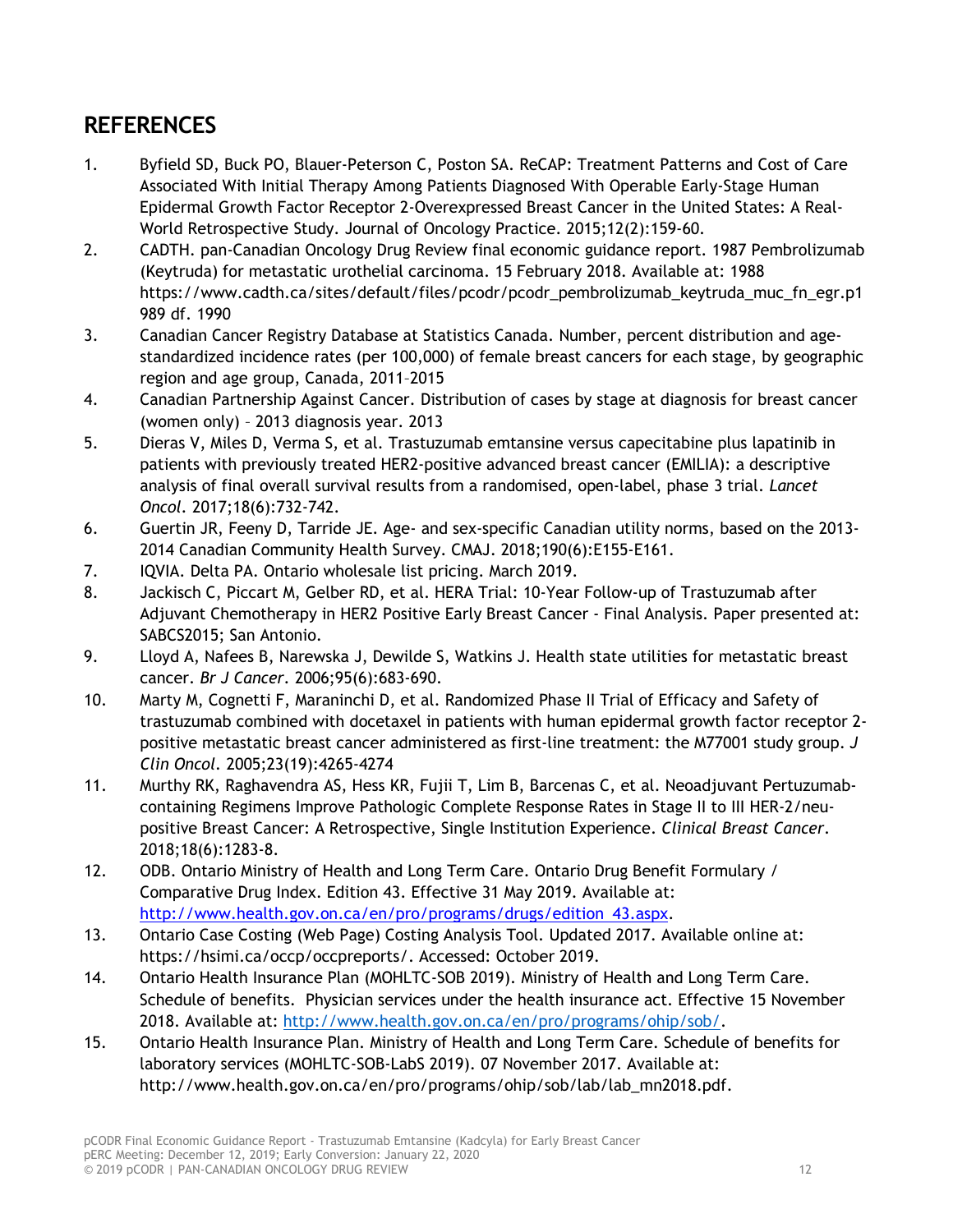# **REFERENCES**

- 1. Byfield SD, Buck PO, Blauer-Peterson C, Poston SA. ReCAP: Treatment Patterns and Cost of Care Associated With Initial Therapy Among Patients Diagnosed With Operable Early-Stage Human Epidermal Growth Factor Receptor 2-Overexpressed Breast Cancer in the United States: A Real-World Retrospective Study. Journal of Oncology Practice. 2015;12(2):159-60.
- 2. CADTH. pan-Canadian Oncology Drug Review final economic guidance report. 1987 Pembrolizumab (Keytruda) for metastatic urothelial carcinoma. 15 February 2018. Available at: 1988 https://www.cadth.ca/sites/default/files/pcodr/pcodr\_pembrolizumab\_keytruda\_muc\_fn\_egr.p1 989 df. 1990
- 3. Canadian Cancer Registry Database at Statistics Canada. Number, percent distribution and agestandardized incidence rates (per 100,000) of female breast cancers for each stage, by geographic region and age group, Canada, 2011–2015
- 4. Canadian Partnership Against Cancer. Distribution of cases by stage at diagnosis for breast cancer (women only) – 2013 diagnosis year. 2013
- 5. Dieras V, Miles D, Verma S, et al. Trastuzumab emtansine versus capecitabine plus lapatinib in patients with previously treated HER2-positive advanced breast cancer (EMILIA): a descriptive analysis of final overall survival results from a randomised, open-label, phase 3 trial. *Lancet Oncol.* 2017;18(6):732-742.
- 6. Guertin JR, Feeny D, Tarride JE. Age- and sex-specific Canadian utility norms, based on the 2013- 2014 Canadian Community Health Survey. CMAJ. 2018;190(6):E155-E161.
- 7. IQVIA. Delta PA. Ontario wholesale list pricing. March 2019.
- 8. Jackisch C, Piccart M, Gelber RD, et al. HERA Trial: 10-Year Follow-up of Trastuzumab after Adjuvant Chemotherapy in HER2 Positive Early Breast Cancer - Final Analysis. Paper presented at: SABCS2015; San Antonio.
- 9. Lloyd A, Nafees B, Narewska J, Dewilde S, Watkins J. Health state utilities for metastatic breast cancer. *Br J Cancer.* 2006;95(6):683-690.
- 10. Marty M, Cognetti F, Maraninchi D, et al. Randomized Phase II Trial of Efficacy and Safety of trastuzumab combined with docetaxel in patients with human epidermal growth factor receptor 2 positive metastatic breast cancer administered as first-line treatment: the M77001 study group. *J Clin Oncol.* 2005;23(19):4265-4274
- 11. Murthy RK, Raghavendra AS, Hess KR, Fujii T, Lim B, Barcenas C, et al. Neoadjuvant Pertuzumabcontaining Regimens Improve Pathologic Complete Response Rates in Stage II to III HER-2/neupositive Breast Cancer: A Retrospective, Single Institution Experience. *Clinical Breast Cancer*. 2018;18(6):1283-8.
- 12. ODB. Ontario Ministry of Health and Long Term Care. Ontario Drug Benefit Formulary / Comparative Drug Index. Edition 43. Effective 31 May 2019. Available at: http://www.health.gov.on.ca/en/pro/programs/drugs/edition 43.aspx.
- 13. Ontario Case Costing (Web Page) Costing Analysis Tool. Updated 2017. Available online at: https://hsimi.ca/occp/occpreports/. Accessed: October 2019.
- 14. Ontario Health Insurance Plan (MOHLTC-SOB 2019). Ministry of Health and Long Term Care. Schedule of benefits. Physician services under the health insurance act. Effective 15 November 2018. Available at: http://www.health.gov.on.ca/en/pro/programs/ohip/sob/.
- 15. Ontario Health Insurance Plan. Ministry of Health and Long Term Care. Schedule of benefits for laboratory services (MOHLTC-SOB-LabS 2019). 07 November 2017. Available at: http://www.health.gov.on.ca/en/pro/programs/ohip/sob/lab/lab\_mn2018.pdf.